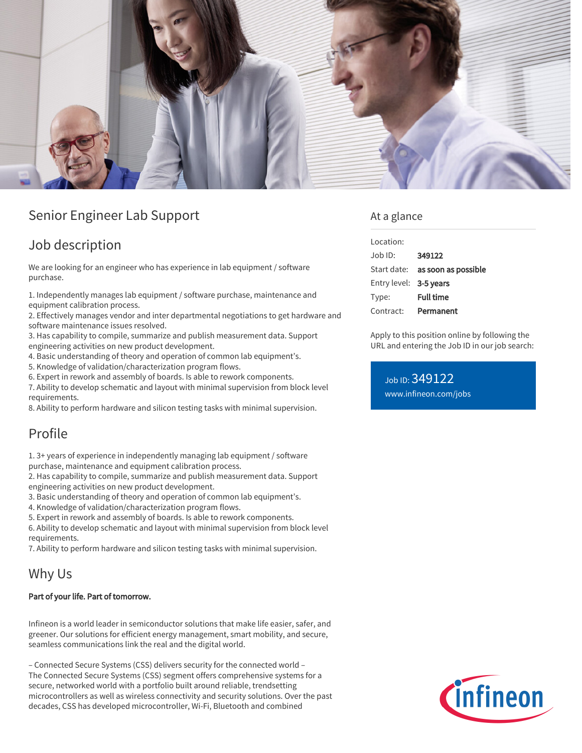

# Senior Engineer Lab Support

## Job description

We are looking for an engineer who has experience in lab equipment / software purchase.

1. Independently manages lab equipment / software purchase, maintenance and equipment calibration process.

2. Effectively manages vendor and inter departmental negotiations to get hardware and software maintenance issues resolved.

3. Has capability to compile, summarize and publish measurement data. Support engineering activities on new product development.

4. Basic understanding of theory and operation of common lab equipment's.

5. Knowledge of validation/characterization program flows.

6. Expert in rework and assembly of boards. Is able to rework components.

7. Ability to develop schematic and layout with minimal supervision from block level requirements.

8. Ability to perform hardware and silicon testing tasks with minimal supervision.

# Profile

1. 3+ years of experience in independently managing lab equipment / software purchase, maintenance and equipment calibration process.

2. Has capability to compile, summarize and publish measurement data. Support engineering activities on new product development.

3. Basic understanding of theory and operation of common lab equipment's.

4. Knowledge of validation/characterization program flows.

5. Expert in rework and assembly of boards. Is able to rework components.

6. Ability to develop schematic and layout with minimal supervision from block level requirements.

7. Ability to perform hardware and silicon testing tasks with minimal supervision.

## Why Us

#### Part of your life. Part of tomorrow.

Infineon is a world leader in semiconductor solutions that make life easier, safer, and greener. Our solutions for efficient energy management, smart mobility, and secure, seamless communications link the real and the digital world.

– Connected Secure Systems (CSS) delivers security for the connected world – The Connected Secure Systems (CSS) segment offers comprehensive systems for a secure, networked world with a portfolio built around reliable, trendsetting microcontrollers as well as wireless connectivity and security solutions. Over the past decades, CSS has developed microcontroller, Wi-Fi, Bluetooth and combined

#### At a glance

| Location:              |                                        |
|------------------------|----------------------------------------|
| Job ID:                | 349122                                 |
|                        | Start date: <b>as soon as possible</b> |
| Entry level: 3-5 years |                                        |
| Type:                  | <b>Full time</b>                       |
| Contract:              | Permanent                              |

Apply to this position online by following the URL and entering the Job ID in our job search:

Job ID: 349122 [www.infineon.com/jobs](https://www.infineon.com/jobs)